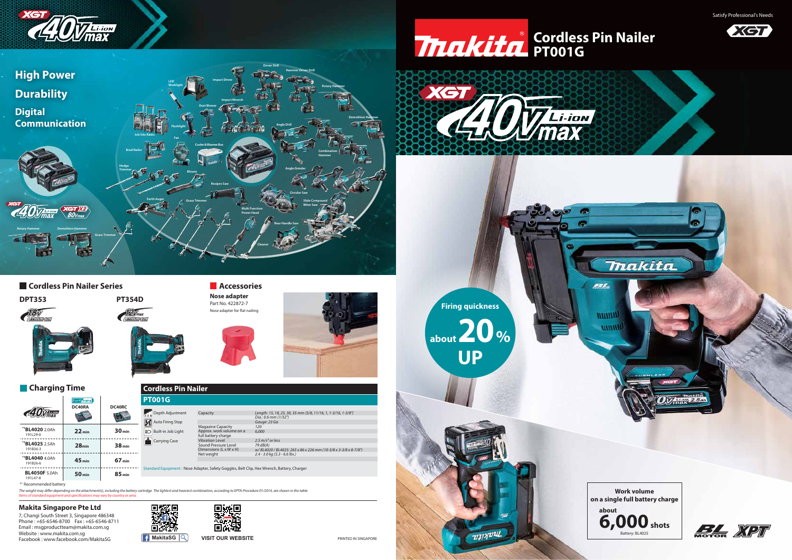7, Changi South Street 3, Singapore 486348 Phone : +65-6546-8700 Fax : +65-6546-8711 Email : msgproductteam@makita.com.sg Website : www.makita.com.sg **Facebook : www.facebook.com/MakitaSG MakitaSG WISIT OUR WEBSITE** 









Standard Equipment : Nose Adapter, Safety Goggles, Belt Clip, Hex Wrench, Battery, Charger

Satisfy Professional's Needs



PRINTED IN SINGAPORE

## **Makita Singapore Pte Ltd**

*Items of standard equipment and specifications may vary by country or area.* The weight may differ depending on the attachment(s), including the battery cartridge. The lightest and heaviest combination, according to EPTA-Procedure 01/2014, are shown in the table. **Work volume** 

**B**<br>Auto Firing Stop  $\boxed{\Xi$ O Built-in Job Light **Carrying Case** 

| <b>Cordless Pin Nailer</b> |          |  |  |
|----------------------------|----------|--|--|
| <b>PT001G</b>              |          |  |  |
| Depth Adjustment           | Capacity |  |  |

*Length: 15, 18, 25, 30, 35 mm (5/8, 11/16, 1, 1-3/16, 1-3/8")*

| Capacity                 | Length: 15, 18, 25, 30, 35 mm (5/ |
|--------------------------|-----------------------------------|
|                          | Dia.: 0.6 mm (1/32")              |
|                          | Gauge: 23 Ga                      |
| <b>Magazine Capacity</b> | 120                               |
| Approx. work volume on a | 6.000                             |
| full battery charge      |                                   |
| <b>Vibration Level</b>   | 2.5 $m/s2$ or less                |
| Sound Pressure Level     | $79$ $dB(A)$                      |
| Dimensions (L x W x H)   | w/BL4020/BL4025:265 x 86 x 2.     |
| Net weight               | $2.4 - 3.0$ kg (5.3 - 6.6 lbs.)   |
|                          |                                   |
|                          |                                   |

*w/ BL4020 / BL4025: 265 x 86 x 226 mm (10-3/8 x 3-3/8 x 8-7/8")*

## **PT001G Cordless Pin Nailer**



## **Cordless Pin Nailer Series**



**Thakita** 

531

*<u>WINNIN</u>* **WINNIN** 





















makita

| <b>40Vmax</b>                           | <b>Fast Charging</b><br>DC40RA | DC40RC            |
|-----------------------------------------|--------------------------------|-------------------|
| *1 <b>BL4020</b> 2.0Ah<br>191L29-0      | $22$ min                       | 30 <sub>min</sub> |
| * <sup>1</sup> BL4025 2.5Ah<br>191B36-3 | 28 <sub>min</sub>              | 38 <sub>min</sub> |
| *1BL4040 4.0Ah<br>191B26-6              | 45 <sub>min</sub>              | 67 <sub>min</sub> |
| <b>BL4050F</b> 5.0Ah<br>191L47-8        | 50 <sub>min</sub>              | 85 <sub>min</sub> |

|  | <b>Charging Time</b> |  |
|--|----------------------|--|
|  |                      |  |

\*1 Recommended battery